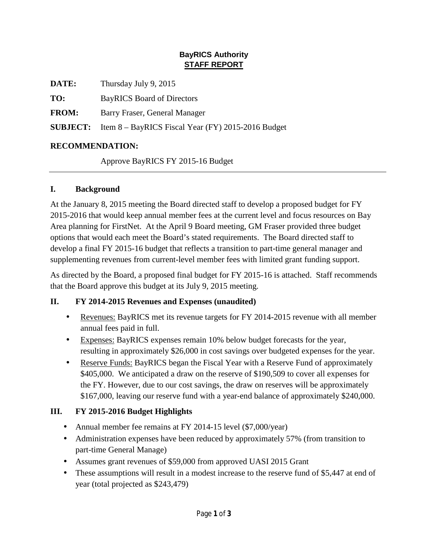## **BayRICS Authority STAFF REPORT**

**DATE:** Thursday July 9, 2015

**TO:** BayRICS Board of Directors

**FROM:** Barry Fraser, General Manager

**SUBJECT:** Item 8 – BayRICS Fiscal Year (FY) 2015-2016 Budget

# **RECOMMENDATION:**

Approve BayRICS FY 2015-16 Budget

# **I. Background**

At the January 8, 2015 meeting the Board directed staff to develop a proposed budget for FY 2015-2016 that would keep annual member fees at the current level and focus resources on Bay Area planning for FirstNet. At the April 9 Board meeting, GM Fraser provided three budget options that would each meet the Board's stated requirements. The Board directed staff to develop a final FY 2015-16 budget that reflects a transition to part-time general manager and supplementing revenues from current-level member fees with limited grant funding support.

As directed by the Board, a proposed final budget for FY 2015-16 is attached. Staff recommends that the Board approve this budget at its July 9, 2015 meeting.

### **II. FY 2014-2015 Revenues and Expenses (unaudited)**

- Revenues: BayRICS met its revenue targets for FY 2014-2015 revenue with all member annual fees paid in full.
- Expenses: BayRICS expenses remain 10% below budget forecasts for the year, ä, resulting in approximately \$26,000 in cost savings over budgeted expenses for the year.
- Reserve Funds: BayRICS began the Fiscal Year with a Reserve Fund of approximately a. \$405,000. We anticipated a draw on the reserve of \$190,509 to cover all expenses for the FY. However, due to our cost savings, the draw on reserves will be approximately \$167,000, leaving our reserve fund with a year-end balance of approximately \$240,000.

# **III. FY 2015-2016 Budget Highlights**

- Annual member fee remains at FY 2014-15 level (\$7,000/year)
- Administration expenses have been reduced by approximately 57% (from transition to  $\mathcal{L}^{\pm}$ part-time General Manage)
- Assumes grant revenues of \$59,000 from approved UASI 2015 Grant  $\mathbf{r}$
- These assumptions will result in a modest increase to the reserve fund of \$5,447 at end of year (total projected as \$243,479)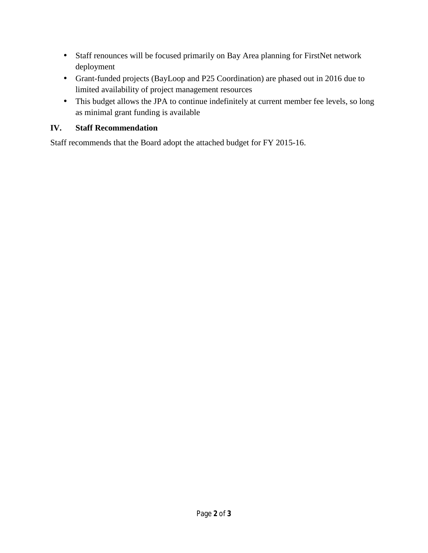- Staff renounces will be focused primarily on Bay Area planning for FirstNet network  $\epsilon$ deployment
- Grant-funded projects (BayLoop and P25 Coordination) are phased out in 2016 due to limited availability of project management resources
- This budget allows the JPA to continue indefinitely at current member fee levels, so long  $\epsilon$ as minimal grant funding is available

## **IV. Staff Recommendation**

Staff recommends that the Board adopt the attached budget for FY 2015-16.